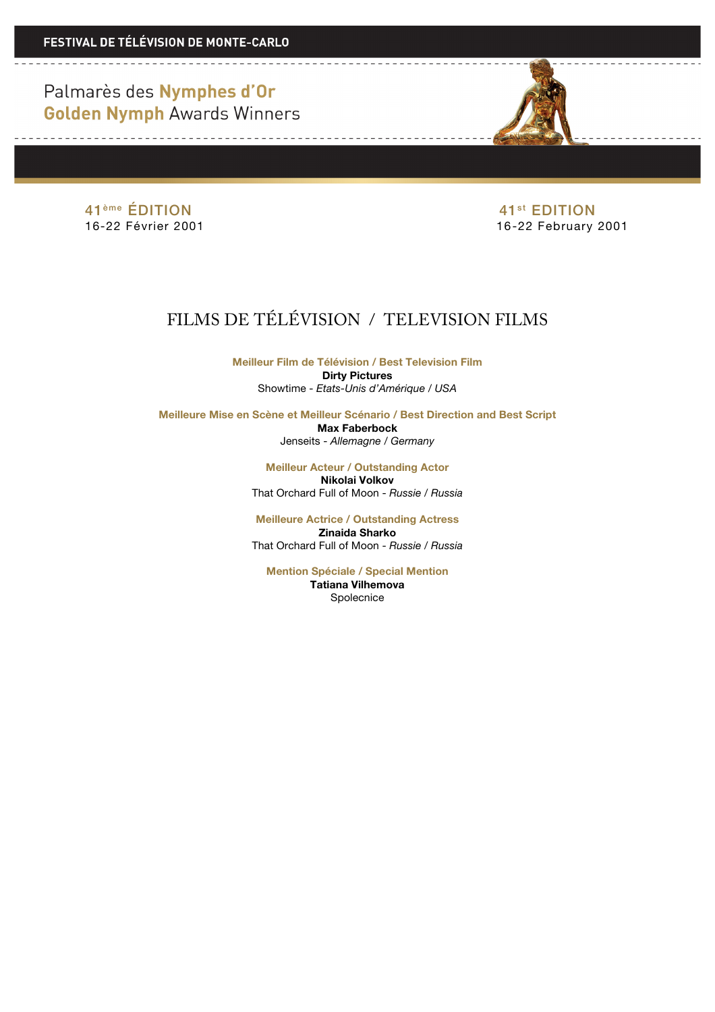Palmarès des Nymphes d'Or **Golden Nymph Awards Winners** 

<u> 1989 - Johann Barbara, manazarta </u>

41<sup>ème</sup> ÉDITION 41<sup>ème</sup> ÉDITION<br>16-22 Février 2001

<u> 1989 - Andrea Albert III, martin a shekara 19</u>

16-22 February 2001

# FILMS DE TÉLÉVISION / TELEVISION FILMS

**Meilleur Film de Télévision / Best Television Film Dirty Pictures** Showtime - *Etats-Unis d'Amérique / USA*

**Meilleure Mise en Scène et Meilleur Scénario / Best Direction and Best Script Max Faberbock** Jenseits - *Allemagne / Germany* 

> **Meilleur Acteur / Outstanding Actor Nikolai Volkov** That Orchard Full of Moon - *Russie / Russia*

> **Meilleure Actrice / Outstanding Actress Zinaida Sharko** That Orchard Full of Moon - *Russie / Russia*

**Mention Spéciale / Special Mention Tatiana Vilhemova** Spolecnice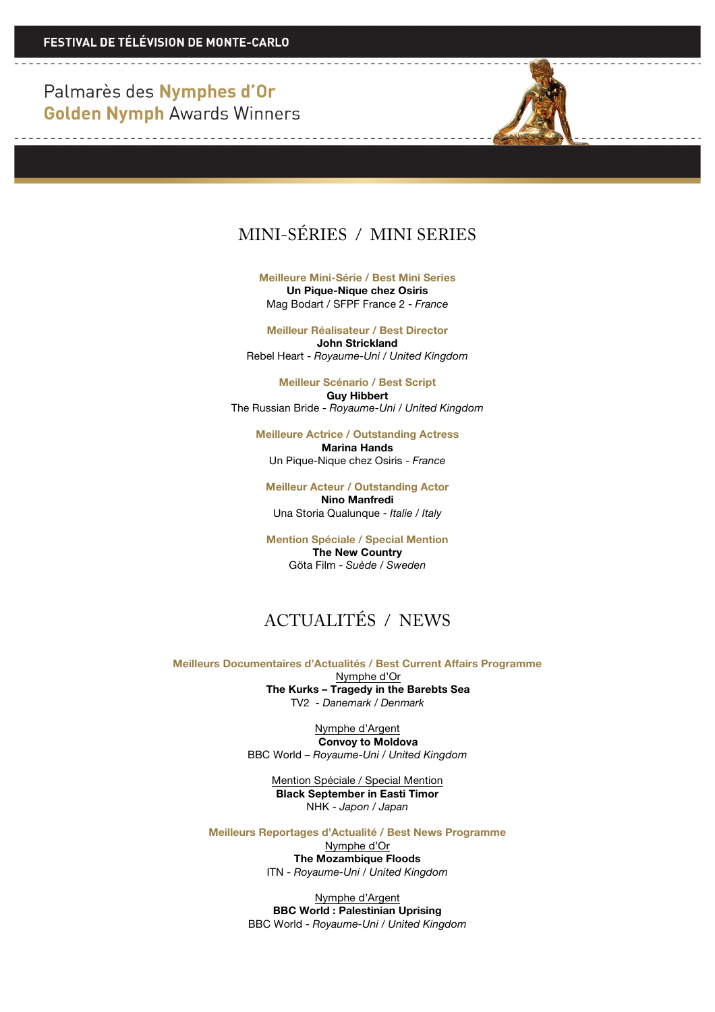Palmarès des Nymphes d'Or **Golden Nymph Awards Winners** 

<u>a sa sala</u>



**Meilleure Mini-Série / Best Mini Series Un Pique-Nique chez Osiris** Mag Bodart / SFPF France 2 - *France*

**Meilleur Réalisateur / Best Director John Strickland** Rebel Heart - *Royaume-Uni / United Kingdom*

**Meilleur Scénario / Best Script Guy Hibbert** The Russian Bride - *Royaume-Uni / United Kingdom*

**Meilleure Actrice / Outstanding Actress Marina Hands** Un Pique-Nique chez Osiris - *France*

**Meilleur Acteur / Outstanding Actor Nino Manfredi** Una Storia Qualunque - *Italie / Italy*

**Mention Spéciale / Special Mention The New Country** Göta Film - *Suède / Sweden* 

## ACTUALITÉS / NEWS

**Meilleurs Documentaires d'Actualités / Best Current Affairs Programme** Nymphe d'Or **The Kurks – Tragedy in the Barebts Sea** TV2 *- Danemark / Denmark*

> Nymphe d'Argent **Convoy to Moldova** BBC World – *Royaume-Uni / United Kingdom*

Mention Spéciale / Special Mention **Black September in Easti Timor** NHK - *Japon / Japan*

**Meilleurs Reportages d'Actualité / Best News Programme**

Nymphe d'Or **The Mozambique Floods** ITN - *Royaume-Uni / United Kingdom*

Nymphe d'Argent **BBC World : Palestinian Uprising** BBC World - *Royaume-Uni / United Kingdom*